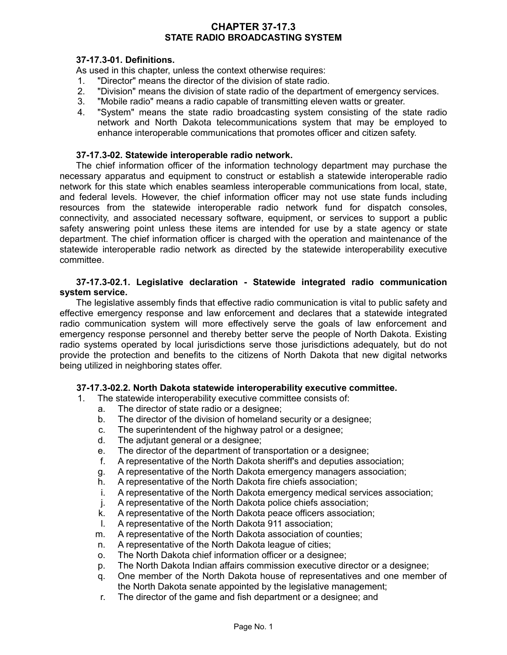# **CHAPTER 37-17.3 STATE RADIO BROADCASTING SYSTEM**

# **37-17.3-01. Definitions.**

As used in this chapter, unless the context otherwise requires:

- 1. "Director" means the director of the division of state radio.
- 2. "Division" means the division of state radio of the department of emergency services.
- 3. "Mobile radio" means a radio capable of transmitting eleven watts or greater.
- 4. "System" means the state radio broadcasting system consisting of the state radio network and North Dakota telecommunications system that may be employed to enhance interoperable communications that promotes officer and citizen safety.

## **37-17.3-02. Statewide interoperable radio network.**

The chief information officer of the information technology department may purchase the necessary apparatus and equipment to construct or establish a statewide interoperable radio network for this state which enables seamless interoperable communications from local, state, and federal levels. However, the chief information officer may not use state funds including resources from the statewide interoperable radio network fund for dispatch consoles, connectivity, and associated necessary software, equipment, or services to support a public safety answering point unless these items are intended for use by a state agency or state department. The chief information officer is charged with the operation and maintenance of the statewide interoperable radio network as directed by the statewide interoperability executive committee.

### **37-17.3-02.1. Legislative declaration - Statewide integrated radio communication system service.**

The legislative assembly finds that effective radio communication is vital to public safety and effective emergency response and law enforcement and declares that a statewide integrated radio communication system will more effectively serve the goals of law enforcement and emergency response personnel and thereby better serve the people of North Dakota. Existing radio systems operated by local jurisdictions serve those jurisdictions adequately, but do not provide the protection and benefits to the citizens of North Dakota that new digital networks being utilized in neighboring states offer.

### **37-17.3-02.2. North Dakota statewide interoperability executive committee.**

- 1. The statewide interoperability executive committee consists of:
	- a. The director of state radio or a designee;
	- b. The director of the division of homeland security or a designee;
	- c. The superintendent of the highway patrol or a designee;
	- d. The adjutant general or a designee;
	- e. The director of the department of transportation or a designee;
	- f. A representative of the North Dakota sheriff's and deputies association;
	- g. A representative of the North Dakota emergency managers association;
	- h. A representative of the North Dakota fire chiefs association;
	- i. A representative of the North Dakota emergency medical services association;
	- j. A representative of the North Dakota police chiefs association;
	- k. A representative of the North Dakota peace officers association;
	- l. A representative of the North Dakota 911 association;
	- m. A representative of the North Dakota association of counties;
	- n. A representative of the North Dakota league of cities;
	- o. The North Dakota chief information officer or a designee;
	- p. The North Dakota Indian affairs commission executive director or a designee;
	- q. One member of the North Dakota house of representatives and one member of the North Dakota senate appointed by the legislative management;
	- r. The director of the game and fish department or a designee; and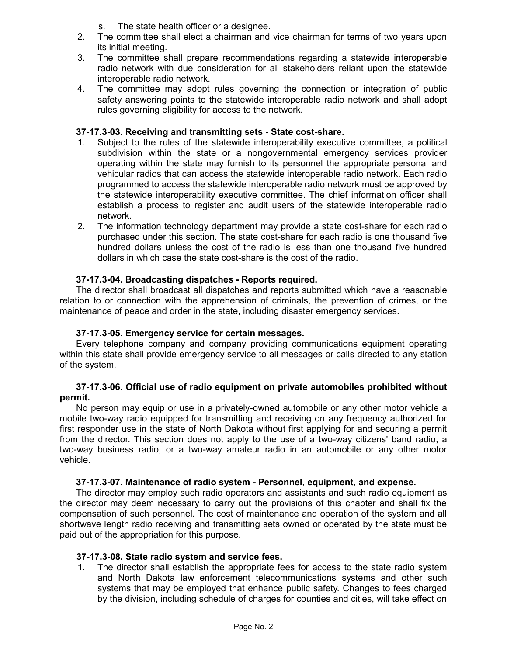- s. The state health officer or a designee.
- 2. The committee shall elect a chairman and vice chairman for terms of two years upon its initial meeting.
- 3. The committee shall prepare recommendations regarding a statewide interoperable radio network with due consideration for all stakeholders reliant upon the statewide interoperable radio network.
- 4. The committee may adopt rules governing the connection or integration of public safety answering points to the statewide interoperable radio network and shall adopt rules governing eligibility for access to the network.

## **37-17.3-03. Receiving and transmitting sets - State cost-share.**

- 1. Subject to the rules of the statewide interoperability executive committee, a political subdivision within the state or a nongovernmental emergency services provider operating within the state may furnish to its personnel the appropriate personal and vehicular radios that can access the statewide interoperable radio network. Each radio programmed to access the statewide interoperable radio network must be approved by the statewide interoperability executive committee. The chief information officer shall establish a process to register and audit users of the statewide interoperable radio network.
- 2. The information technology department may provide a state cost-share for each radio purchased under this section. The state cost-share for each radio is one thousand five hundred dollars unless the cost of the radio is less than one thousand five hundred dollars in which case the state cost-share is the cost of the radio.

## **37-17.3-04. Broadcasting dispatches - Reports required.**

The director shall broadcast all dispatches and reports submitted which have a reasonable relation to or connection with the apprehension of criminals, the prevention of crimes, or the maintenance of peace and order in the state, including disaster emergency services.

#### **37-17.3-05. Emergency service for certain messages.**

Every telephone company and company providing communications equipment operating within this state shall provide emergency service to all messages or calls directed to any station of the system.

#### **37-17.3-06. Official use of radio equipment on private automobiles prohibited without permit.**

No person may equip or use in a privately-owned automobile or any other motor vehicle a mobile two-way radio equipped for transmitting and receiving on any frequency authorized for first responder use in the state of North Dakota without first applying for and securing a permit from the director. This section does not apply to the use of a two-way citizens' band radio, a two-way business radio, or a two-way amateur radio in an automobile or any other motor vehicle.

#### **37-17.3-07. Maintenance of radio system - Personnel, equipment, and expense.**

The director may employ such radio operators and assistants and such radio equipment as the director may deem necessary to carry out the provisions of this chapter and shall fix the compensation of such personnel. The cost of maintenance and operation of the system and all shortwave length radio receiving and transmitting sets owned or operated by the state must be paid out of the appropriation for this purpose.

## **37-17.3-08. State radio system and service fees.**

1. The director shall establish the appropriate fees for access to the state radio system and North Dakota law enforcement telecommunications systems and other such systems that may be employed that enhance public safety. Changes to fees charged by the division, including schedule of charges for counties and cities, will take effect on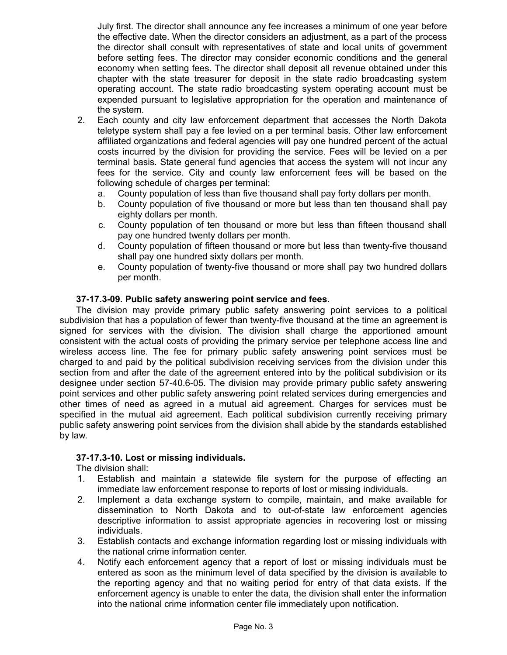July first. The director shall announce any fee increases a minimum of one year before the effective date. When the director considers an adjustment, as a part of the process the director shall consult with representatives of state and local units of government before setting fees. The director may consider economic conditions and the general economy when setting fees. The director shall deposit all revenue obtained under this chapter with the state treasurer for deposit in the state radio broadcasting system operating account. The state radio broadcasting system operating account must be expended pursuant to legislative appropriation for the operation and maintenance of the system.

- 2. Each county and city law enforcement department that accesses the North Dakota teletype system shall pay a fee levied on a per terminal basis. Other law enforcement affiliated organizations and federal agencies will pay one hundred percent of the actual costs incurred by the division for providing the service. Fees will be levied on a per terminal basis. State general fund agencies that access the system will not incur any fees for the service. City and county law enforcement fees will be based on the following schedule of charges per terminal:
	- a. County population of less than five thousand shall pay forty dollars per month.
	- b. County population of five thousand or more but less than ten thousand shall pay eighty dollars per month.
	- c. County population of ten thousand or more but less than fifteen thousand shall pay one hundred twenty dollars per month.
	- d. County population of fifteen thousand or more but less than twenty-five thousand shall pay one hundred sixty dollars per month.
	- e. County population of twenty-five thousand or more shall pay two hundred dollars per month.

#### **37-17.3-09. Public safety answering point service and fees.**

The division may provide primary public safety answering point services to a political subdivision that has a population of fewer than twenty-five thousand at the time an agreement is signed for services with the division. The division shall charge the apportioned amount consistent with the actual costs of providing the primary service per telephone access line and wireless access line. The fee for primary public safety answering point services must be charged to and paid by the political subdivision receiving services from the division under this section from and after the date of the agreement entered into by the political subdivision or its designee under section 57-40.6-05. The division may provide primary public safety answering point services and other public safety answering point related services during emergencies and other times of need as agreed in a mutual aid agreement. Charges for services must be specified in the mutual aid agreement. Each political subdivision currently receiving primary public safety answering point services from the division shall abide by the standards established by law.

#### **37-17.3-10. Lost or missing individuals.**

The division shall:

- 1. Establish and maintain a statewide file system for the purpose of effecting an immediate law enforcement response to reports of lost or missing individuals.
- 2. Implement a data exchange system to compile, maintain, and make available for dissemination to North Dakota and to out-of-state law enforcement agencies descriptive information to assist appropriate agencies in recovering lost or missing individuals.
- 3. Establish contacts and exchange information regarding lost or missing individuals with the national crime information center.
- 4. Notify each enforcement agency that a report of lost or missing individuals must be entered as soon as the minimum level of data specified by the division is available to the reporting agency and that no waiting period for entry of that data exists. If the enforcement agency is unable to enter the data, the division shall enter the information into the national crime information center file immediately upon notification.